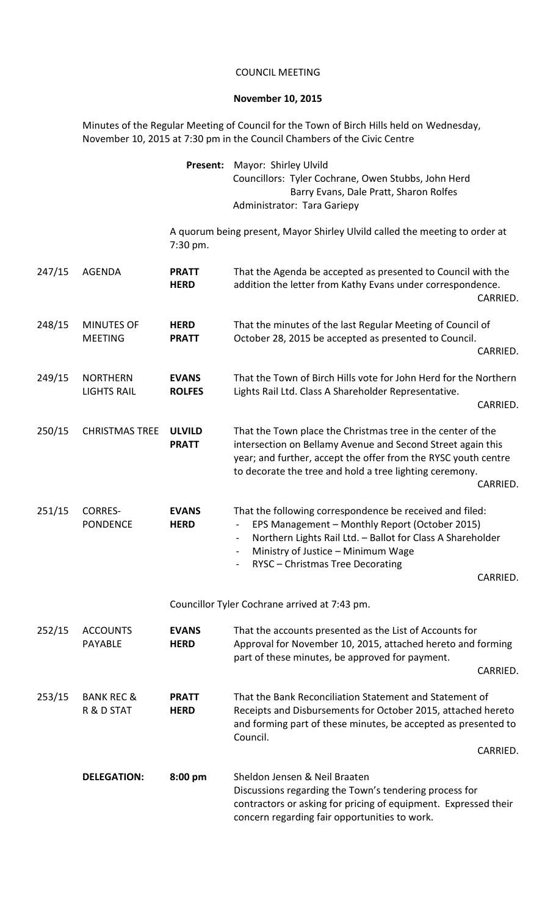## COUNCIL MEETING

## **November 10, 2015**

Minutes of the Regular Meeting of Council for the Town of Birch Hills held on Wednesday, November 10, 2015 at 7:30 pm in the Council Chambers of the Civic Centre

|        |                                       | Present:                      | Mayor: Shirley Ulvild<br>Councillors: Tyler Cochrane, Owen Stubbs, John Herd<br>Barry Evans, Dale Pratt, Sharon Rolfes<br>Administrator: Tara Gariepy                                                                                                                                              |
|--------|---------------------------------------|-------------------------------|----------------------------------------------------------------------------------------------------------------------------------------------------------------------------------------------------------------------------------------------------------------------------------------------------|
|        |                                       | 7:30 pm.                      | A quorum being present, Mayor Shirley Ulvild called the meeting to order at                                                                                                                                                                                                                        |
| 247/15 | <b>AGENDA</b>                         | <b>PRATT</b><br><b>HERD</b>   | That the Agenda be accepted as presented to Council with the<br>addition the letter from Kathy Evans under correspondence.<br>CARRIED.                                                                                                                                                             |
| 248/15 | <b>MINUTES OF</b><br><b>MEETING</b>   | <b>HERD</b><br><b>PRATT</b>   | That the minutes of the last Regular Meeting of Council of<br>October 28, 2015 be accepted as presented to Council.<br>CARRIED.                                                                                                                                                                    |
| 249/15 | <b>NORTHERN</b><br><b>LIGHTS RAIL</b> | <b>EVANS</b><br><b>ROLFES</b> | That the Town of Birch Hills vote for John Herd for the Northern<br>Lights Rail Ltd. Class A Shareholder Representative.<br>CARRIED.                                                                                                                                                               |
| 250/15 | <b>CHRISTMAS TREE</b>                 | <b>ULVILD</b><br><b>PRATT</b> | That the Town place the Christmas tree in the center of the<br>intersection on Bellamy Avenue and Second Street again this<br>year; and further, accept the offer from the RYSC youth centre<br>to decorate the tree and hold a tree lighting ceremony.<br>CARRIED.                                |
| 251/15 | <b>CORRES-</b><br><b>PONDENCE</b>     | <b>EVANS</b><br><b>HERD</b>   | That the following correspondence be received and filed:<br>EPS Management - Monthly Report (October 2015)<br>Northern Lights Rail Ltd. - Ballot for Class A Shareholder<br>$\blacksquare$<br>Ministry of Justice - Minimum Wage<br>$\blacksquare$<br>RYSC - Christmas Tree Decorating<br>CARRIED. |
|        |                                       |                               | Councillor Tyler Cochrane arrived at 7:43 pm.                                                                                                                                                                                                                                                      |
| 252/15 | <b>ACCOUNTS</b><br><b>PAYABLE</b>     | <b>EVANS</b><br><b>HERD</b>   | That the accounts presented as the List of Accounts for<br>Approval for November 10, 2015, attached hereto and forming<br>part of these minutes, be approved for payment.<br>CARRIED.                                                                                                              |
| 253/15 | <b>BANK REC &amp;</b><br>R & D STAT   | <b>PRATT</b><br><b>HERD</b>   | That the Bank Reconciliation Statement and Statement of<br>Receipts and Disbursements for October 2015, attached hereto<br>and forming part of these minutes, be accepted as presented to<br>Council.<br>CARRIED.                                                                                  |
|        | <b>DELEGATION:</b>                    | 8:00 pm                       | Sheldon Jensen & Neil Braaten<br>Discussions regarding the Town's tendering process for<br>contractors or asking for pricing of equipment. Expressed their<br>concern regarding fair opportunities to work.                                                                                        |